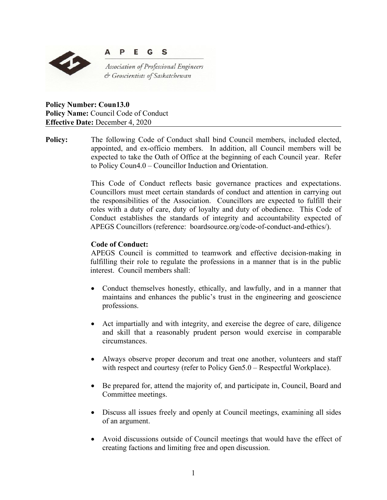

**Policy Number: Coun13.0 Policy Name:** Council Code of Conduct **Effective Date:** December 4, 2020

**Policy:** The following Code of Conduct shall bind Council members, included elected, appointed, and ex-officio members. In addition, all Council members will be expected to take the Oath of Office at the beginning of each Council year. Refer to Policy Coun4.0 – Councillor Induction and Orientation.

> This Code of Conduct reflects basic governance practices and expectations. Councillors must meet certain standards of conduct and attention in carrying out the responsibilities of the Association. Councillors are expected to fulfill their roles with a duty of care, duty of loyalty and duty of obedience. This Code of Conduct establishes the standards of integrity and accountability expected of APEGS Councillors (reference: boardsource.org/code-of-conduct-and-ethics/).

## **Code of Conduct:**

APEGS Council is committed to teamwork and effective decision-making in fulfilling their role to regulate the professions in a manner that is in the public interest. Council members shall:

- Conduct themselves honestly, ethically, and lawfully, and in a manner that maintains and enhances the public's trust in the engineering and geoscience professions.
- Act impartially and with integrity, and exercise the degree of care, diligence and skill that a reasonably prudent person would exercise in comparable circumstances.
- Always observe proper decorum and treat one another, volunteers and staff with respect and courtesy (refer to Policy Gen5.0 – Respectful Workplace).
- Be prepared for, attend the majority of, and participate in, Council, Board and Committee meetings.
- Discuss all issues freely and openly at Council meetings, examining all sides of an argument.
- Avoid discussions outside of Council meetings that would have the effect of creating factions and limiting free and open discussion.